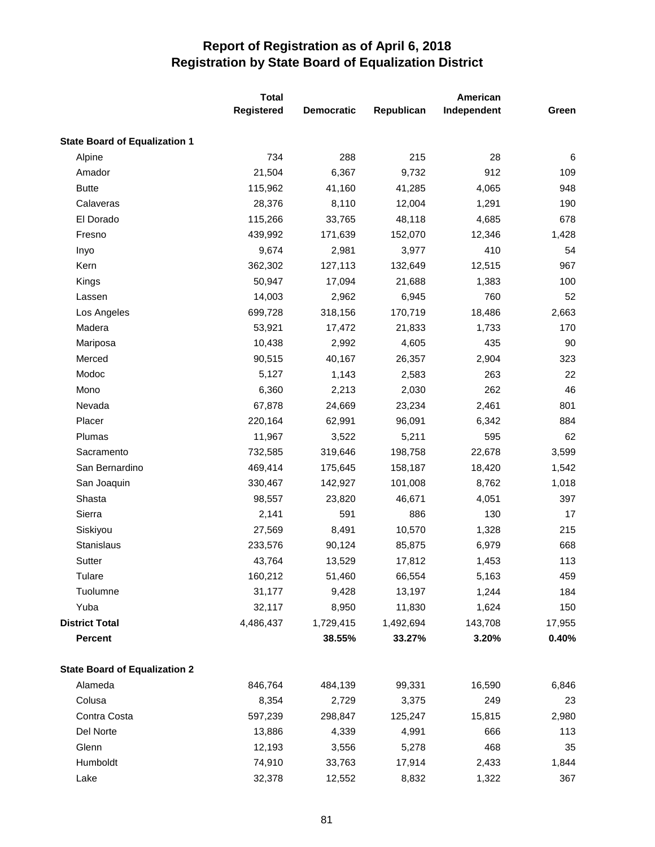|                                      | <b>Total</b>      |                   |            | American    |        |
|--------------------------------------|-------------------|-------------------|------------|-------------|--------|
|                                      | <b>Registered</b> | <b>Democratic</b> | Republican | Independent | Green  |
| <b>State Board of Equalization 1</b> |                   |                   |            |             |        |
| Alpine                               | 734               | 288               | 215        | 28          | 6      |
| Amador                               | 21,504            | 6,367             | 9,732      | 912         | 109    |
| <b>Butte</b>                         | 115,962           | 41,160            | 41,285     | 4,065       | 948    |
| Calaveras                            | 28,376            | 8,110             | 12,004     | 1,291       | 190    |
| El Dorado                            | 115,266           | 33,765            | 48,118     | 4,685       | 678    |
| Fresno                               | 439,992           | 171,639           | 152,070    | 12,346      | 1,428  |
| Inyo                                 | 9,674             | 2,981             | 3,977      | 410         | 54     |
| Kern                                 | 362,302           | 127,113           | 132,649    | 12,515      | 967    |
| Kings                                | 50,947            | 17,094            | 21,688     | 1,383       | 100    |
| Lassen                               | 14,003            | 2,962             | 6,945      | 760         | 52     |
| Los Angeles                          | 699,728           | 318,156           | 170,719    | 18,486      | 2,663  |
| Madera                               | 53,921            | 17,472            | 21,833     | 1,733       | 170    |
| Mariposa                             | 10,438            | 2,992             | 4,605      | 435         | 90     |
| Merced                               | 90,515            | 40,167            | 26,357     | 2,904       | 323    |
| Modoc                                | 5,127             | 1,143             | 2,583      | 263         | 22     |
| Mono                                 | 6,360             | 2,213             | 2,030      | 262         | 46     |
| Nevada                               | 67,878            | 24,669            | 23,234     | 2,461       | 801    |
| Placer                               | 220,164           | 62,991            | 96,091     | 6,342       | 884    |
| Plumas                               | 11,967            | 3,522             | 5,211      | 595         | 62     |
| Sacramento                           | 732,585           | 319,646           | 198,758    | 22,678      | 3,599  |
| San Bernardino                       | 469,414           | 175,645           | 158,187    | 18,420      | 1,542  |
| San Joaquin                          | 330,467           | 142,927           | 101,008    | 8,762       | 1,018  |
| Shasta                               | 98,557            | 23,820            | 46,671     | 4,051       | 397    |
| Sierra                               | 2,141             | 591               | 886        | 130         | 17     |
| Siskiyou                             | 27,569            | 8,491             | 10,570     | 1,328       | 215    |
| Stanislaus                           | 233,576           | 90,124            | 85,875     | 6,979       | 668    |
| Sutter                               | 43,764            | 13,529            | 17,812     | 1,453       | 113    |
| Tulare                               | 160,212           | 51,460            | 66,554     | 5,163       | 459    |
| Tuolumne                             | 31,177            | 9,428             | 13,197     | 1,244       | 184    |
| Yuba                                 | 32,117            | 8,950             | 11,830     | 1,624       | 150    |
| <b>District Total</b>                | 4,486,437         | 1,729,415         | 1,492,694  | 143,708     | 17,955 |
| <b>Percent</b>                       |                   | 38.55%            | 33.27%     | 3.20%       | 0.40%  |
| <b>State Board of Equalization 2</b> |                   |                   |            |             |        |
| Alameda                              | 846,764           | 484,139           | 99,331     | 16,590      | 6,846  |
| Colusa                               | 8,354             | 2,729             | 3,375      | 249         | 23     |
| Contra Costa                         | 597,239           | 298,847           | 125,247    | 15,815      | 2,980  |
| Del Norte                            | 13,886            | 4,339             | 4,991      | 666         | 113    |
| Glenn                                | 12,193            | 3,556             | 5,278      | 468         | 35     |
| Humboldt                             | 74,910            | 33,763            | 17,914     | 2,433       | 1,844  |
| Lake                                 | 32,378            | 12,552            | 8,832      | 1,322       | 367    |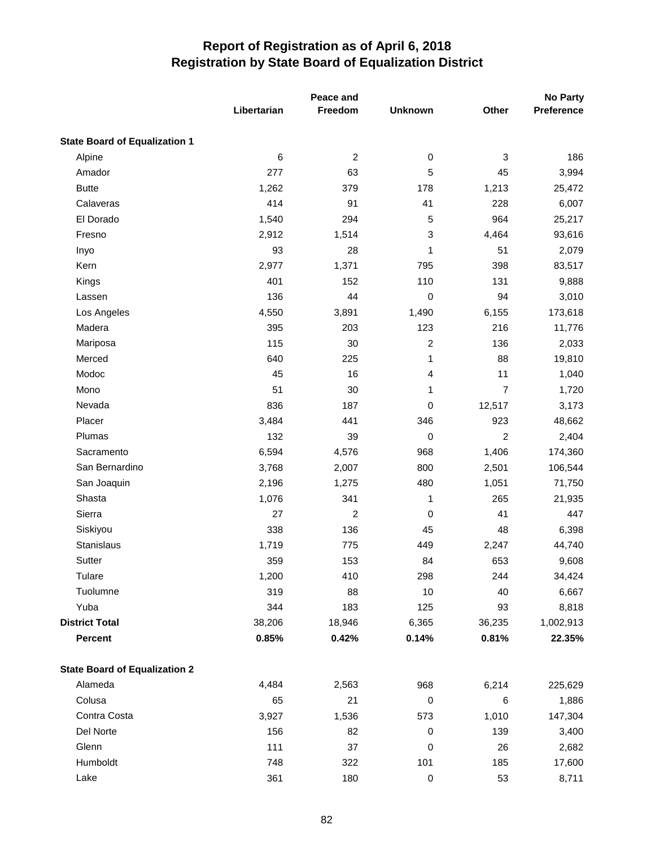|                                      | Peace and   |                |                |                           | <b>No Party</b> |
|--------------------------------------|-------------|----------------|----------------|---------------------------|-----------------|
|                                      | Libertarian | Freedom        | <b>Unknown</b> | Other                     | Preference      |
| <b>State Board of Equalization 1</b> |             |                |                |                           |                 |
| Alpine                               | 6           | $\overline{c}$ | $\,0\,$        | $\ensuremath{\mathsf{3}}$ | 186             |
| Amador                               | 277         | 63             | 5              | 45                        | 3,994           |
| <b>Butte</b>                         | 1,262       | 379            | 178            | 1,213                     | 25,472          |
| Calaveras                            | 414         | 91             | 41             | 228                       | 6,007           |
| El Dorado                            | 1,540       | 294            | 5              | 964                       | 25,217          |
| Fresno                               | 2,912       | 1,514          | 3              | 4,464                     | 93,616          |
| Inyo                                 | 93          | 28             | 1              | 51                        | 2,079           |
| Kern                                 | 2,977       | 1,371          | 795            | 398                       | 83,517          |
| Kings                                | 401         | 152            | 110            | 131                       | 9,888           |
| Lassen                               | 136         | 44             | 0              | 94                        | 3,010           |
| Los Angeles                          | 4,550       | 3,891          | 1,490          | 6,155                     | 173,618         |
| Madera                               | 395         | 203            | 123            | 216                       | 11,776          |
| Mariposa                             | 115         | 30             | $\overline{c}$ | 136                       | 2,033           |
| Merced                               | 640         | 225            | 1              | 88                        | 19,810          |
| Modoc                                | 45          | 16             | 4              | 11                        | 1,040           |
| Mono                                 | 51          | 30             | 1              | $\overline{7}$            | 1,720           |
| Nevada                               | 836         | 187            | $\pmb{0}$      | 12,517                    | 3,173           |
| Placer                               | 3,484       | 441            | 346            | 923                       | 48,662          |
| Plumas                               | 132         | 39             | $\pmb{0}$      | 2                         | 2,404           |
| Sacramento                           | 6,594       | 4,576          | 968            | 1,406                     | 174,360         |
| San Bernardino                       | 3,768       | 2,007          | 800            | 2,501                     | 106,544         |
| San Joaquin                          | 2,196       | 1,275          | 480            | 1,051                     | 71,750          |
| Shasta                               | 1,076       | 341            | 1              | 265                       | 21,935          |
| Sierra                               | 27          | 2              | $\pmb{0}$      | 41                        | 447             |
| Siskiyou                             | 338         | 136            | 45             | 48                        | 6,398           |
| Stanislaus                           | 1,719       | 775            | 449            | 2,247                     | 44,740          |
| Sutter                               | 359         | 153            | 84             | 653                       | 9,608           |
| Tulare                               | 1,200       | 410            | 298            | 244                       | 34,424          |
| Tuolumne                             | 319         | 88             | 10             | 40                        | 6,667           |
| Yuba                                 | 344         | 183            | 125            | 93                        | 8,818           |
| <b>District Total</b>                | 38,206      | 18,946         | 6,365          | 36,235                    | 1,002,913       |
| <b>Percent</b>                       | 0.85%       | 0.42%          | 0.14%          | 0.81%                     | 22.35%          |
| <b>State Board of Equalization 2</b> |             |                |                |                           |                 |
| Alameda                              | 4,484       | 2,563          | 968            | 6,214                     | 225,629         |
| Colusa                               | 65          | 21             | $\mathbf 0$    | 6                         | 1,886           |
| Contra Costa                         | 3,927       | 1,536          | 573            | 1,010                     | 147,304         |
| Del Norte                            | 156         | 82             | $\,0\,$        | 139                       | 3,400           |
| Glenn                                | 111         | 37             | $\,0\,$        | 26                        | 2,682           |
| Humboldt                             | 748         | 322            | 101            | 185                       | 17,600          |
| Lake                                 | 361         | 180            | $\mathbf 0$    | 53                        | 8,711           |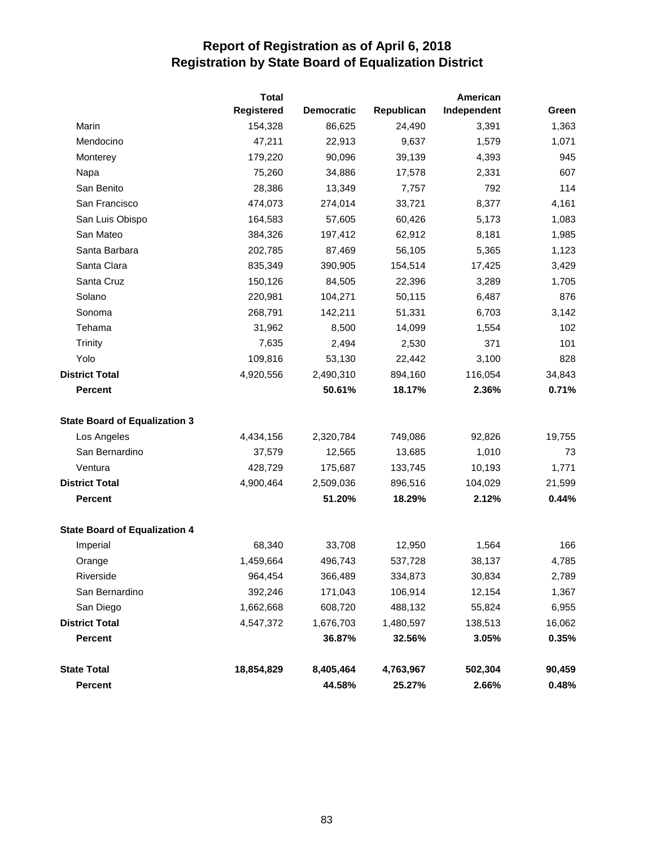|                                      | <b>Total</b>      |                   |            | American    |        |
|--------------------------------------|-------------------|-------------------|------------|-------------|--------|
|                                      | <b>Registered</b> | <b>Democratic</b> | Republican | Independent | Green  |
| Marin                                | 154,328           | 86,625            | 24,490     | 3,391       | 1,363  |
| Mendocino                            | 47,211            | 22,913            | 9,637      | 1,579       | 1,071  |
| Monterey                             | 179,220           | 90,096            | 39,139     | 4,393       | 945    |
| Napa                                 | 75,260            | 34,886            | 17,578     | 2,331       | 607    |
| San Benito                           | 28,386            | 13,349            | 7,757      | 792         | 114    |
| San Francisco                        | 474,073           | 274,014           | 33,721     | 8,377       | 4,161  |
| San Luis Obispo                      | 164,583           | 57,605            | 60,426     | 5,173       | 1,083  |
| San Mateo                            | 384,326           | 197,412           | 62,912     | 8,181       | 1,985  |
| Santa Barbara                        | 202,785           | 87,469            | 56,105     | 5,365       | 1,123  |
| Santa Clara                          | 835,349           | 390,905           | 154,514    | 17,425      | 3,429  |
| Santa Cruz                           | 150,126           | 84,505            | 22,396     | 3,289       | 1,705  |
| Solano                               | 220,981           | 104,271           | 50,115     | 6,487       | 876    |
| Sonoma                               | 268,791           | 142,211           | 51,331     | 6,703       | 3,142  |
| Tehama                               | 31,962            | 8,500             | 14,099     | 1,554       | 102    |
| Trinity                              | 7,635             | 2,494             | 2,530      | 371         | 101    |
| Yolo                                 | 109,816           | 53,130            | 22,442     | 3,100       | 828    |
| <b>District Total</b>                | 4,920,556         | 2,490,310         | 894,160    | 116,054     | 34,843 |
| <b>Percent</b>                       |                   | 50.61%            | 18.17%     | 2.36%       | 0.71%  |
| <b>State Board of Equalization 3</b> |                   |                   |            |             |        |
| Los Angeles                          | 4,434,156         | 2,320,784         | 749,086    | 92,826      | 19,755 |
| San Bernardino                       | 37,579            | 12,565            | 13,685     | 1,010       | 73     |
| Ventura                              | 428,729           | 175,687           | 133,745    | 10,193      | 1,771  |
| <b>District Total</b>                | 4,900,464         | 2,509,036         | 896,516    | 104,029     | 21,599 |
| <b>Percent</b>                       |                   | 51.20%            | 18.29%     | 2.12%       | 0.44%  |
| <b>State Board of Equalization 4</b> |                   |                   |            |             |        |
| Imperial                             | 68,340            | 33,708            | 12,950     | 1,564       | 166    |
| Orange                               | 1,459,664         | 496,743           | 537,728    | 38,137      | 4,785  |
| Riverside                            | 964,454           | 366,489           | 334,873    | 30,834      | 2,789  |
| San Bernardino                       | 392,246           | 171,043           | 106,914    | 12,154      | 1,367  |
| San Diego                            | 1,662,668         | 608,720           | 488,132    | 55,824      | 6,955  |
| <b>District Total</b>                | 4,547,372         | 1,676,703         | 1,480,597  | 138,513     | 16,062 |
| <b>Percent</b>                       |                   | 36.87%            | 32.56%     | 3.05%       | 0.35%  |
| <b>State Total</b>                   | 18,854,829        | 8,405,464         | 4,763,967  | 502,304     | 90,459 |
| Percent                              |                   | 44.58%            | 25.27%     | 2.66%       | 0.48%  |